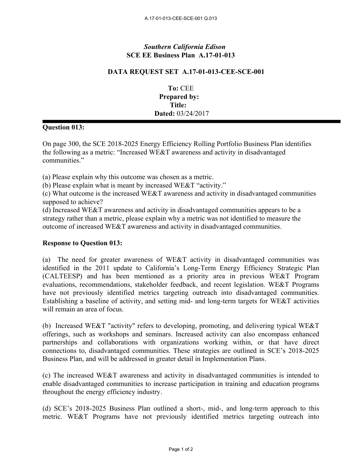## *Southern California Edison* **SCE EE Business Plan A.17-01-013**

## **DATA REQUEST SET A.17-01-013-CEE-SCE-001**

**To:** CEE **Prepared by: Title: Dated:** 03/24/2017

## **Question 013:**

On page 300, the SCE 2018-2025 Energy Efficiency Rolling Portfolio Business Plan identifies the following as a metric: "Increased WE&T awareness and activity in disadvantaged communities."

(a) Please explain why this outcome was chosen as a metric.

(b) Please explain what is meant by increased WE&T "activity."

(c) What outcome is the increased WE&T awareness and activity in disadvantaged communities supposed to achieve?

(d) Increased WE&T awareness and activity in disadvantaged communities appears to be a strategy rather than a metric, please explain why a metric was not identified to measure the outcome of increased WE&T awareness and activity in disadvantaged communities.

## **Response to Question 013:**

(a) The need for greater awareness of WE&T activity in disadvantaged communities was identified in the 2011 update to California's Long-Term Energy Efficiency Strategic Plan (CALTEESP) and has been mentioned as a priority area in previous WE&T Program evaluations, recommendations, stakeholder feedback, and recent legislation. WE&T Programs have not previously identified metrics targeting outreach into disadvantaged communities. Establishing a baseline of activity, and setting mid- and long-term targets for WE&T activities will remain an area of focus.

(b) Increased WE&T "activity" refers to developing, promoting, and delivering typical WE&T offerings, such as workshops and seminars. Increased activity can also encompass enhanced partnerships and collaborations with organizations working within, or that have direct connections to, disadvantaged communities. These strategies are outlined in SCE's 2018-2025 Business Plan, and will be addressed in greater detail in Implementation Plans.

(c) The increased WE&T awareness and activity in disadvantaged communities is intended to enable disadvantaged communities to increase participation in training and education programs throughout the energy efficiency industry.

(d) SCE's 2018-2025 Business Plan outlined a short-, mid-, and long-term approach to this metric. WE&T Programs have not previously identified metrics targeting outreach into